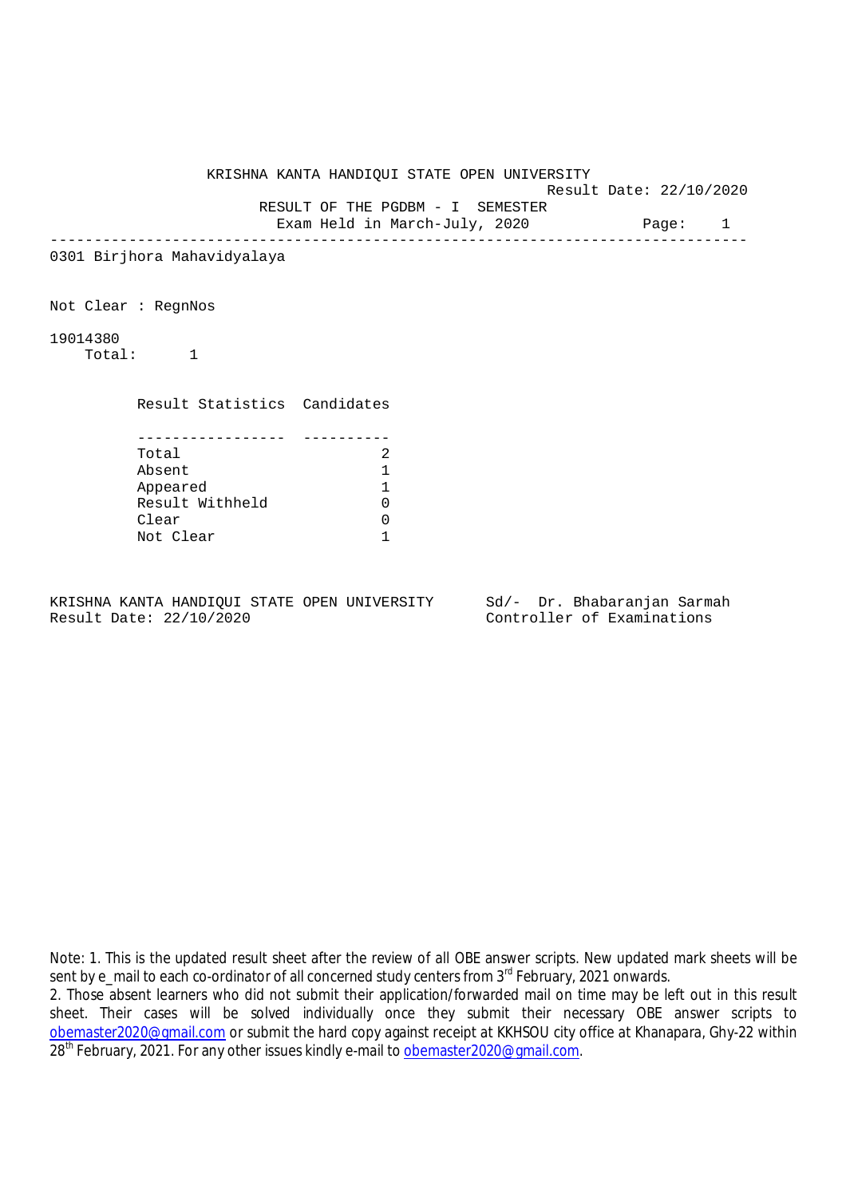KRISHNA KANTA HANDIQUI STATE OPEN UNIVERSITY

Result Date: 22/10/2020

RESULT OF THE PGDBM - I SEMESTER

Exam Held in March-July, 2020 Page: 1 --------------------------------------------------------------------------------

0301 Birjhora Mahavidyalaya

Not Clear : RegnNos

19014380

Total: 1

Result Statistics Candidates

| Total           |  |
|-----------------|--|
| Absent          |  |
| Appeared        |  |
| Result Withheld |  |
| Clear           |  |
| Not Clear       |  |

KRISHNA KANTA HANDIQUI STATE OPEN UNIVERSITY Sd/- Dr. Bhabaranjan Sarmah Result Date: 22/10/2020 Controller of Examinations

Note: 1. This is the updated result sheet after the review of all OBE answer scripts. New updated mark sheets will be sent by e\_mail to each co-ordinator of all concerned study centers from 3<sup>rd</sup> February, 2021 onwards.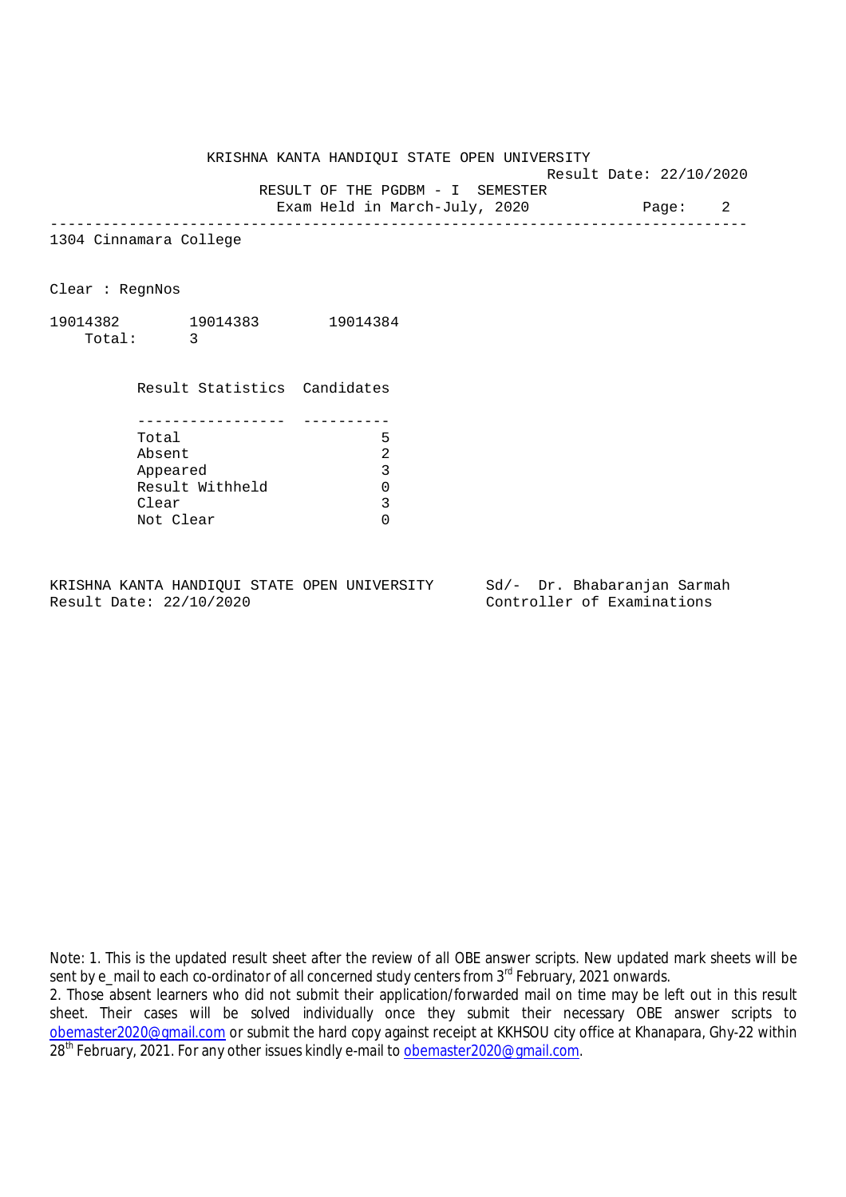KRISHNA KANTA HANDIQUI STATE OPEN UNIVERSITY

Result Date: 22/10/2020

 RESULT OF THE PGDBM - I SEMESTER Exam Held in March-July, 2020 Page: 2

--------------------------------------------------------------------------------

1304 Cinnamara College

Clear : RegnNos

19014382 19014383 19014384 Total: 3

> Result Statistics Candidates ----------------- ---------- Total 5 Absent 2<br>
> Appeared 3<br>
> Result Withheld 0 Appeared 3 Result Withheld 0<br>Clear 3 Clear Not Clear 0

KRISHNA KANTA HANDIQUI STATE OPEN UNIVERSITY Sd/- Dr. Bhabaranjan Sarmah Result Date: 22/10/2020 Controller of Examinations

Note: 1. This is the updated result sheet after the review of all OBE answer scripts. New updated mark sheets will be sent by e\_mail to each co-ordinator of all concerned study centers from 3<sup>rd</sup> February, 2021 onwards.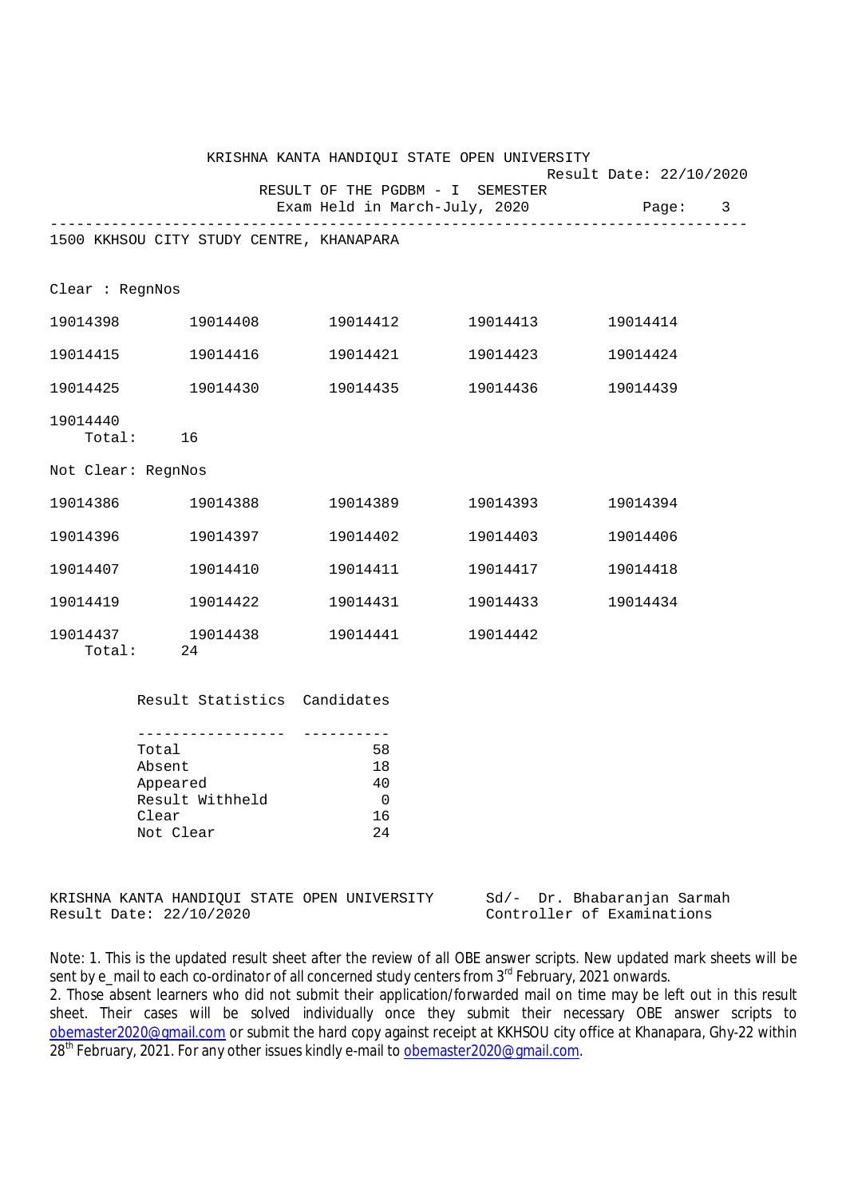|                    | KRISHNA KANTA HANDIQUI STATE OPEN UNIVERSITY                                               |                                                                   |                   |                                    |
|--------------------|--------------------------------------------------------------------------------------------|-------------------------------------------------------------------|-------------------|------------------------------------|
|                    |                                                                                            | RESULT OF THE PGDBM - I SEMESTER<br>Exam Held in March-July, 2020 |                   | Result Date: 22/10/2020<br>Page: 3 |
|                    |                                                                                            |                                                                   |                   |                                    |
|                    | 1500 KKHSOU CITY STUDY CENTRE, KHANAPARA                                                   |                                                                   |                   |                                    |
| Clear : RegnNos    |                                                                                            |                                                                   |                   |                                    |
|                    | 19014398 19014408                                                                          |                                                                   |                   | 19014414                           |
|                    | 19014415 19014416                                                                          |                                                                   | 19014421 19014423 | 19014424                           |
|                    | 19014425 19014430                                                                          |                                                                   | 19014435 19014436 | 19014439                           |
| 19014440           | Total: 16                                                                                  |                                                                   |                   |                                    |
| Not Clear: RegnNos |                                                                                            |                                                                   |                   |                                    |
|                    | 19014386 19014388                                                                          |                                                                   | 19014389 19014393 | 19014394                           |
|                    |                                                                                            |                                                                   | 19014402 19014403 | 19014406                           |
|                    | 19014407 19014410                                                                          |                                                                   |                   | 19014418                           |
|                    | 19014419 19014422                                                                          |                                                                   |                   | 19014434                           |
| Total:             | 19014437 19014438<br>24                                                                    | 19014441 19014442                                                 |                   |                                    |
|                    | Result Statistics Candidates                                                               |                                                                   |                   |                                    |
|                    | ------------------<br>Total<br>Absent<br>Appeared<br>Result Withheld<br>Clear<br>Not Clear | 58<br>18<br>40<br>0<br>16<br>24                                   |                   |                                    |
|                    | KRISHNA KANTA HANDIQUI STATE OPEN UNIVERSITY                                               |                                                                   | Sd/-              | Dr. Bhabaranjan Sarmah             |

Result Date: 22/10/2020 Controller of Examinations

Note: 1. This is the updated result sheet after the review of all OBE answer scripts. New updated mark sheets will be sent by e\_mail to each co-ordinator of all concerned study centers from 3<sup>rd</sup> February, 2021 onwards.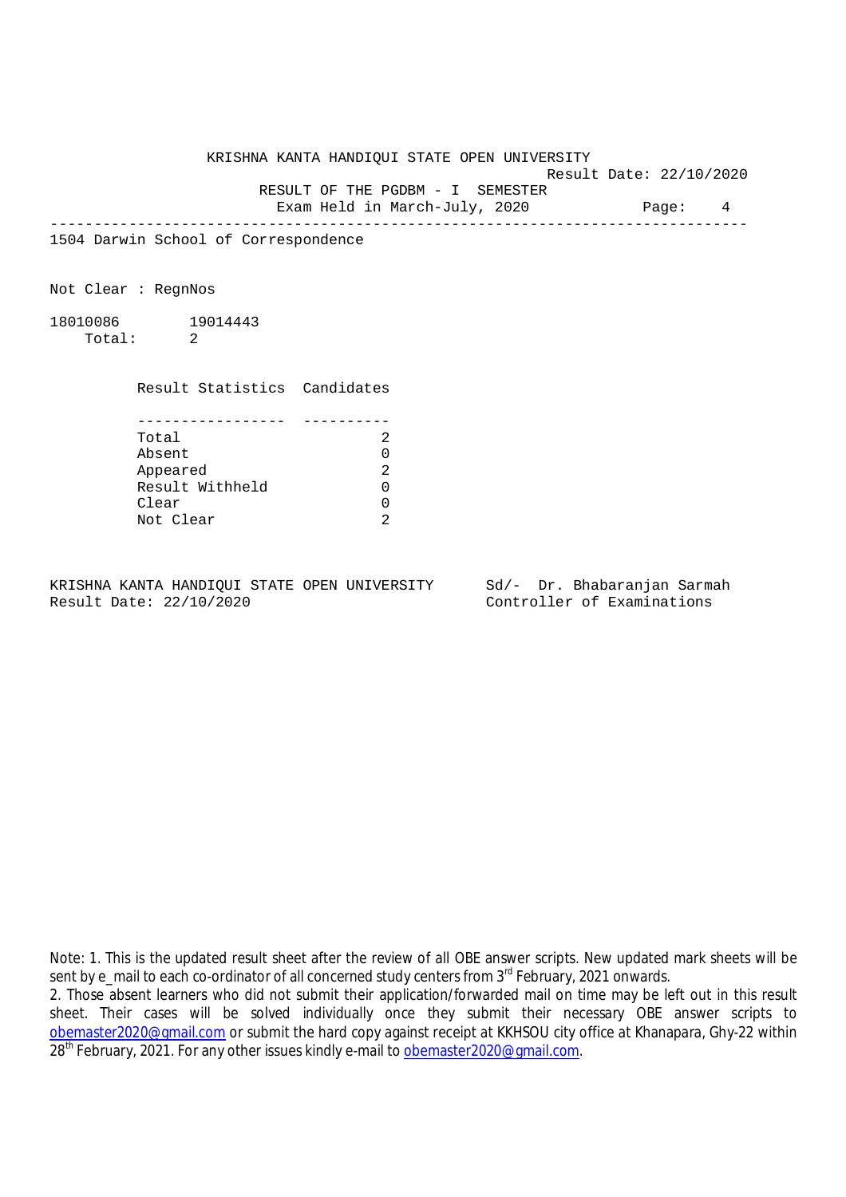KRISHNA KANTA HANDIQUI STATE OPEN UNIVERSITY Result Date: 22/10/2020 RESULT OF THE PGDBM - I SEMESTER Exam Held in March-July, 2020 Page: 4

--------------------------------------------------------------------------------

1504 Darwin School of Correspondence

Not Clear : RegnNos

18010086 19014443 Total: 2

Result Statistics Candidates

| Total           |  |
|-----------------|--|
| Absent          |  |
| Appeared        |  |
| Result Withheld |  |
| Clear           |  |
| Not Clear       |  |

KRISHNA KANTA HANDIQUI STATE OPEN UNIVERSITY Sd/- Dr. Bhabaranjan Sarmah Result Date: 22/10/2020 Controller of Examinations

Note: 1. This is the updated result sheet after the review of all OBE answer scripts. New updated mark sheets will be sent by e\_mail to each co-ordinator of all concerned study centers from 3<sup>rd</sup> February, 2021 onwards.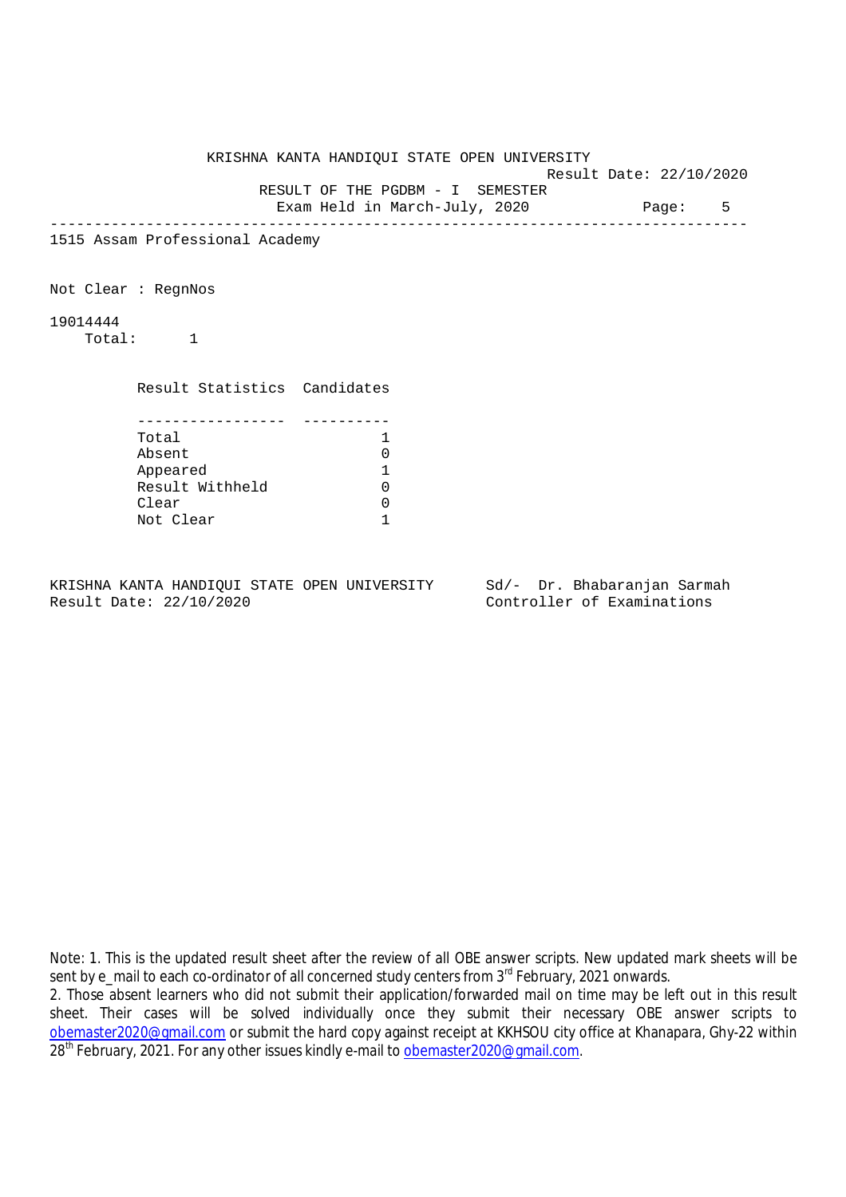|                     |                                 | KRISHNA KANTA HANDIQUI STATE OPEN UNIVERSITY |                          |  |   |
|---------------------|---------------------------------|----------------------------------------------|--------------------------|--|---|
|                     |                                 |                                              | Result Date: 22/10/2020  |  |   |
|                     |                                 | RESULT OF THE PGDBM - I SEMESTER             |                          |  |   |
|                     |                                 | Exam Held in March-July, 2020 Page:          |                          |  | 5 |
|                     | 1515 Assam Professional Academy |                                              | ________________________ |  |   |
| Not Clear : RegnNos |                                 |                                              |                          |  |   |
| 19014444            | Total: 1                        |                                              |                          |  |   |
|                     | Result Statistics Candidates    |                                              |                          |  |   |
|                     | Total                           | 1                                            |                          |  |   |
|                     | Absent                          | 0                                            |                          |  |   |
|                     | Appeared                        | 1                                            |                          |  |   |
|                     | Result Withheld                 | 0                                            |                          |  |   |
|                     | Clear                           | 0                                            |                          |  |   |
|                     | Not Clear                       |                                              |                          |  |   |
|                     |                                 |                                              |                          |  |   |

Note: 1. This is the updated result sheet after the review of all OBE answer scripts. New updated mark sheets will be sent by e\_mail to each co-ordinator of all concerned study centers from 3<sup>rd</sup> February, 2021 onwards.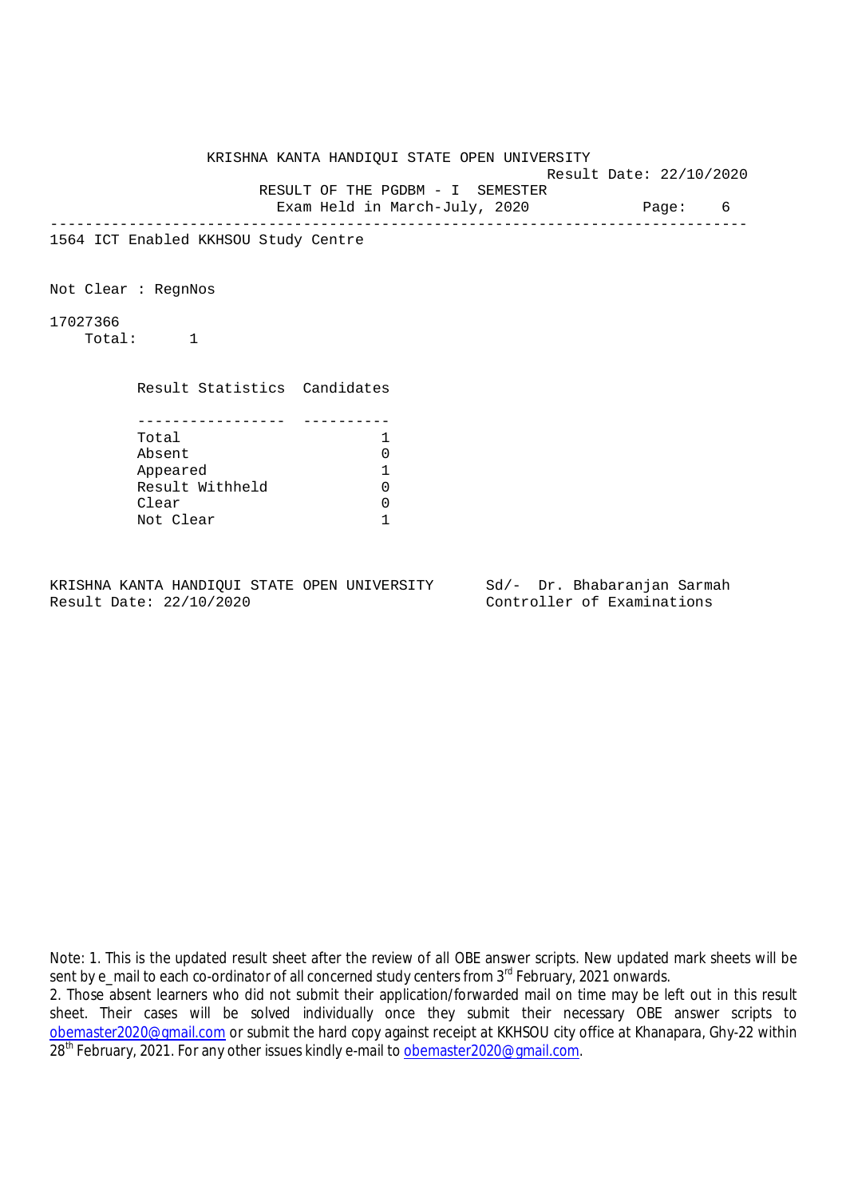|                    |                                      | KRISHNA KANTA HANDIQUI STATE OPEN UNIVERSITY |                         |  |   |
|--------------------|--------------------------------------|----------------------------------------------|-------------------------|--|---|
|                    |                                      |                                              | Result Date: 22/10/2020 |  |   |
|                    |                                      | RESULT OF THE PGDBM - I SEMESTER             |                         |  |   |
|                    |                                      | Exam Held in March-July, 2020 Page:          |                         |  | 6 |
|                    | 1564 ICT Enabled KKHSOU Study Centre |                                              |                         |  |   |
|                    | Not Clear : RegnNos                  |                                              |                         |  |   |
| 17027366<br>Total: |                                      |                                              |                         |  |   |
|                    | Result Statistics Candidates         |                                              |                         |  |   |
|                    | Total                                | 1                                            |                         |  |   |
|                    | Absent                               | 0                                            |                         |  |   |
|                    | Appeared                             | 1                                            |                         |  |   |
|                    | Result Withheld                      | $\Omega$                                     |                         |  |   |
|                    | Clear                                | $\mathbf 0$                                  |                         |  |   |
|                    | Not Clear                            | 1                                            |                         |  |   |
|                    |                                      |                                              |                         |  |   |

Note: 1. This is the updated result sheet after the review of all OBE answer scripts. New updated mark sheets will be sent by e\_mail to each co-ordinator of all concerned study centers from 3<sup>rd</sup> February, 2021 onwards.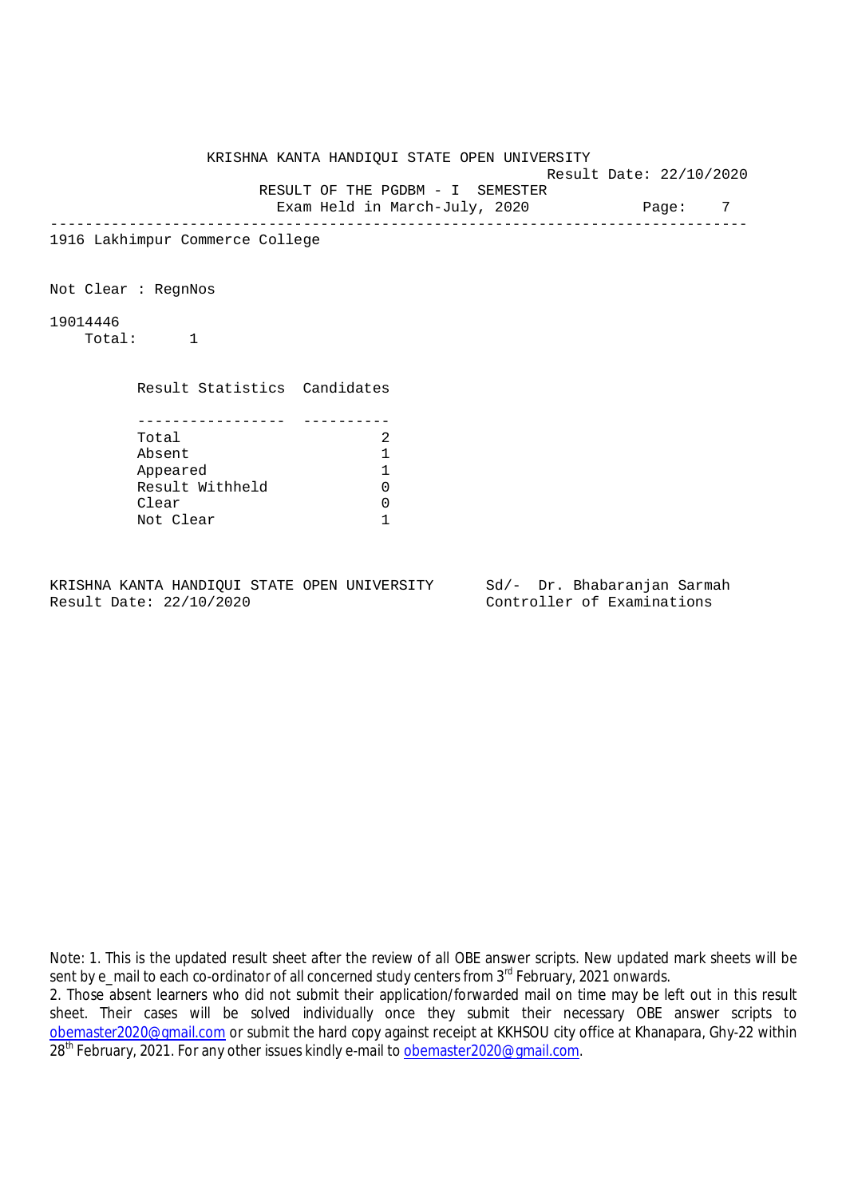|                                                | KRISHNA KANTA HANDIQUI STATE OPEN UNIVERSITY |                         |       |   |
|------------------------------------------------|----------------------------------------------|-------------------------|-------|---|
|                                                |                                              | Result Date: 22/10/2020 |       |   |
|                                                | RESULT OF THE PGDBM - I SEMESTER             |                         |       |   |
|                                                | Exam Held in March-July, 2020                |                         | Page: | 7 |
| 1916 Lakhimpur Commerce College                |                                              | ----------------------  |       |   |
| Not Clear : RegnNos                            |                                              |                         |       |   |
| 19014446<br>Total:<br>$\overline{\phantom{a}}$ |                                              |                         |       |   |
| Result Statistics Candidates                   |                                              |                         |       |   |
|                                                |                                              |                         |       |   |
| Total<br>Absent                                | 2<br>1                                       |                         |       |   |
| Appeared                                       | 1                                            |                         |       |   |
| Result Withheld                                | 0                                            |                         |       |   |
| Clear                                          | 0                                            |                         |       |   |
| Not Clear                                      |                                              |                         |       |   |
|                                                |                                              |                         |       |   |

Note: 1. This is the updated result sheet after the review of all OBE answer scripts. New updated mark sheets will be sent by e\_mail to each co-ordinator of all concerned study centers from 3<sup>rd</sup> February, 2021 onwards.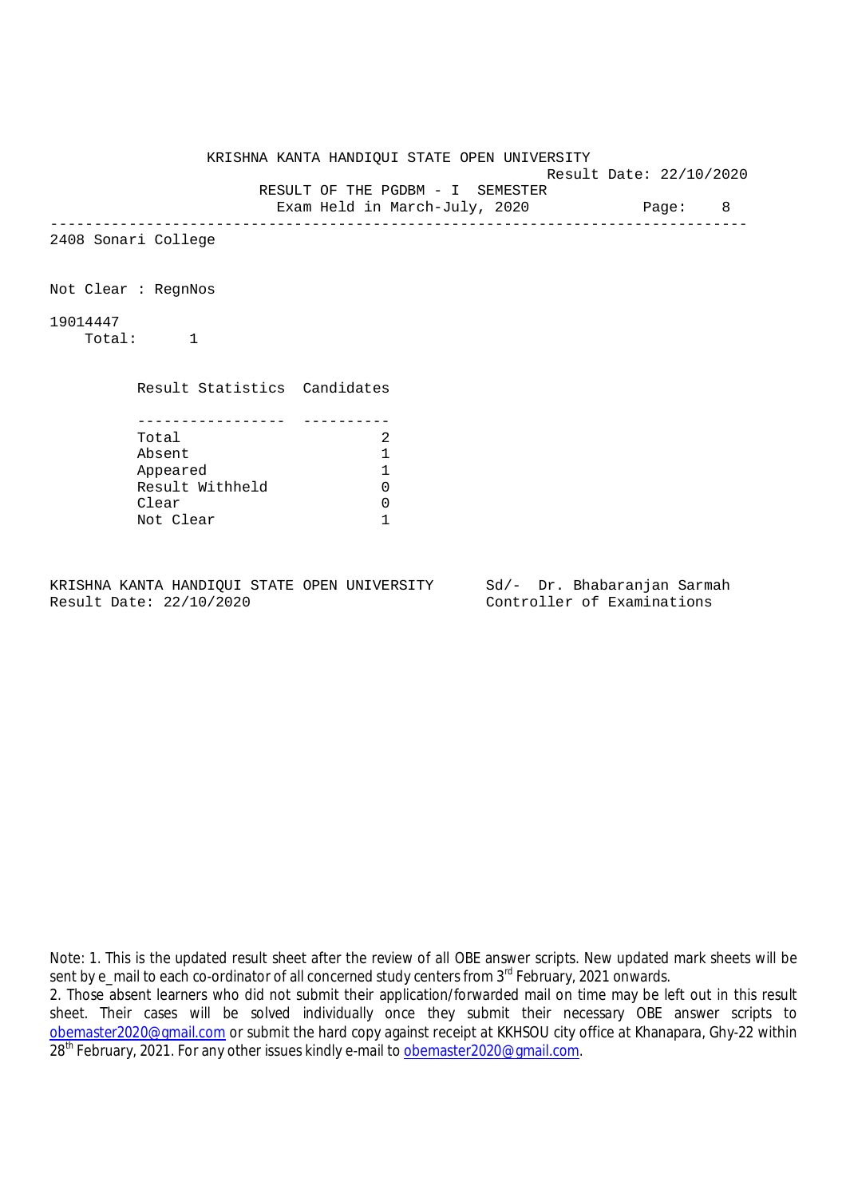|                              | KRISHNA KANTA HANDIQUI STATE OPEN UNIVERSITY                              | Result Date: 22/10/2020 |  |
|------------------------------|---------------------------------------------------------------------------|-------------------------|--|
|                              | RESULT OF THE PGDBM - I SEMESTER<br>Exam Held in March-July, 2020 Page: 8 |                         |  |
| 2408 Sonari College          |                                                                           |                         |  |
| Not Clear : RegnNos          |                                                                           |                         |  |
| 19014447<br>Total: 1         |                                                                           |                         |  |
| Result Statistics Candidates |                                                                           |                         |  |
| -----------------<br>Total   | 2                                                                         |                         |  |
| Absent                       | 1                                                                         |                         |  |
| Appeared                     | 1                                                                         |                         |  |
| Result Withheld              | 0                                                                         |                         |  |
| Clear                        | 0                                                                         |                         |  |
| Not Clear                    | 1                                                                         |                         |  |

Note: 1. This is the updated result sheet after the review of all OBE answer scripts. New updated mark sheets will be sent by e\_mail to each co-ordinator of all concerned study centers from 3<sup>rd</sup> February, 2021 onwards.